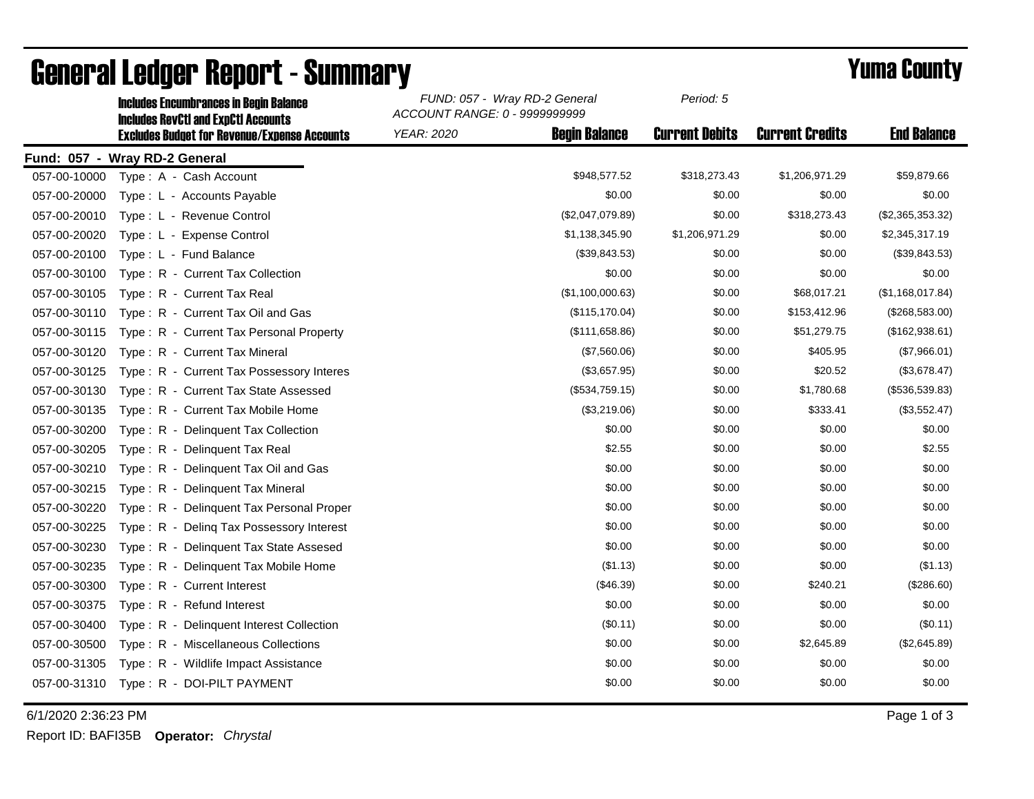|              | <b>Includes RevCtI and ExpCtI Accounts</b>          | ACCOUNT RANGE: 0 - 9999999999 |                      |                       |                        |                    |  |  |
|--------------|-----------------------------------------------------|-------------------------------|----------------------|-----------------------|------------------------|--------------------|--|--|
|              | <b>Excludes Budget for Revenue/Expense Accounts</b> | <b>YEAR: 2020</b>             | <b>Begin Balance</b> | <b>Current Debits</b> | <b>Current Credits</b> | <b>End Balance</b> |  |  |
|              | Fund: 057 - Wray RD-2 General                       |                               |                      |                       |                        |                    |  |  |
| 057-00-10000 | Type: A - Cash Account                              |                               | \$948,577.52         | \$318,273.43          | \$1,206,971.29         | \$59,879.66        |  |  |
| 057-00-20000 | Type: L - Accounts Payable                          |                               | \$0.00               | \$0.00                | \$0.00                 | \$0.00             |  |  |
| 057-00-20010 | Type: L - Revenue Control                           |                               | (\$2,047,079.89)     | \$0.00                | \$318,273.43           | (\$2,365,353.32)   |  |  |
| 057-00-20020 | Type: L - Expense Control                           |                               | \$1,138,345.90       | \$1,206,971.29        | \$0.00                 | \$2,345,317.19     |  |  |
| 057-00-20100 | Type: L - Fund Balance                              |                               | (\$39,843.53)        | \$0.00                | \$0.00                 | (\$39,843.53)      |  |  |
| 057-00-30100 | Type: R - Current Tax Collection                    |                               | \$0.00               | \$0.00                | \$0.00                 | \$0.00             |  |  |
| 057-00-30105 | Type: R - Current Tax Real                          |                               | (\$1,100,000.63)     | \$0.00                | \$68,017.21            | (\$1,168,017.84)   |  |  |
| 057-00-30110 | Type: R - Current Tax Oil and Gas                   |                               | (\$115, 170.04)      | \$0.00                | \$153,412.96           | (\$268,583.00)     |  |  |
| 057-00-30115 | Type: R - Current Tax Personal Property             |                               | (\$111,658.86)       | \$0.00                | \$51,279.75            | (\$162,938.61)     |  |  |
| 057-00-30120 | Type: R - Current Tax Mineral                       |                               | (\$7,560.06)         | \$0.00                | \$405.95               | (\$7,966.01)       |  |  |
| 057-00-30125 | Type: R - Current Tax Possessory Interes            |                               | (\$3,657.95)         | \$0.00                | \$20.52                | (\$3,678.47)       |  |  |
| 057-00-30130 | Type: R - Current Tax State Assessed                |                               | (\$534,759.15)       | \$0.00                | \$1,780.68             | (\$536,539.83)     |  |  |
| 057-00-30135 | Type: R - Current Tax Mobile Home                   |                               | (\$3,219.06)         | \$0.00                | \$333.41               | (\$3,552.47)       |  |  |
| 057-00-30200 | Type: R - Delinguent Tax Collection                 |                               | \$0.00               | \$0.00                | \$0.00                 | \$0.00             |  |  |
| 057-00-30205 | Type: R - Delinquent Tax Real                       |                               | \$2.55               | \$0.00                | \$0.00                 | \$2.55             |  |  |
| 057-00-30210 | Type: R - Delinquent Tax Oil and Gas                |                               | \$0.00               | \$0.00                | \$0.00                 | \$0.00             |  |  |
| 057-00-30215 | Type: R - Delinquent Tax Mineral                    |                               | \$0.00               | \$0.00                | \$0.00                 | \$0.00             |  |  |
| 057-00-30220 | Type: R - Delinquent Tax Personal Proper            |                               | \$0.00               | \$0.00                | \$0.00                 | \$0.00             |  |  |
| 057-00-30225 | Type: R - Deling Tax Possessory Interest            |                               | \$0.00               | \$0.00                | \$0.00                 | \$0.00             |  |  |
| 057-00-30230 | Type: R - Delinquent Tax State Assesed              |                               | \$0.00               | \$0.00                | \$0.00                 | \$0.00             |  |  |
| 057-00-30235 | Type: R - Delinquent Tax Mobile Home                |                               | (\$1.13)             | \$0.00                | \$0.00                 | (\$1.13)           |  |  |
| 057-00-30300 | Type: R - Current Interest                          |                               | (\$46.39)            | \$0.00                | \$240.21               | (\$286.60)         |  |  |
| 057-00-30375 | Type: R - Refund Interest                           |                               | \$0.00               | \$0.00                | \$0.00                 | \$0.00             |  |  |
| 057-00-30400 | Type: R - Delinquent Interest Collection            |                               | (\$0.11)             | \$0.00                | \$0.00                 | (\$0.11)           |  |  |
| 057-00-30500 | Type: R - Miscellaneous Collections                 |                               | \$0.00               | \$0.00                | \$2,645.89             | (\$2,645.89)       |  |  |
| 057-00-31305 | Type: R - Wildlife Impact Assistance                |                               | \$0.00               | \$0.00                | \$0.00                 | \$0.00             |  |  |
| 057-00-31310 | Type: R - DOI-PILT PAYMENT                          |                               | \$0.00               | \$0.00                | \$0.00                 | \$0.00             |  |  |
|              |                                                     |                               |                      |                       |                        |                    |  |  |

## **General Ledger Report - Summary**<br>
Sunno: 057 - Wray RD-2 General Period: 5<br>
Reprod: 5<br>
Reprod: 5

Includes Encumbrances in Begin Balance *FUND: 057 - Wray RD-2 General*

6/1/2020 2:36:23 PM Page 1 of 3

Report ID: BAFI35B **Operator:** *Chrystal*

*Period: 5*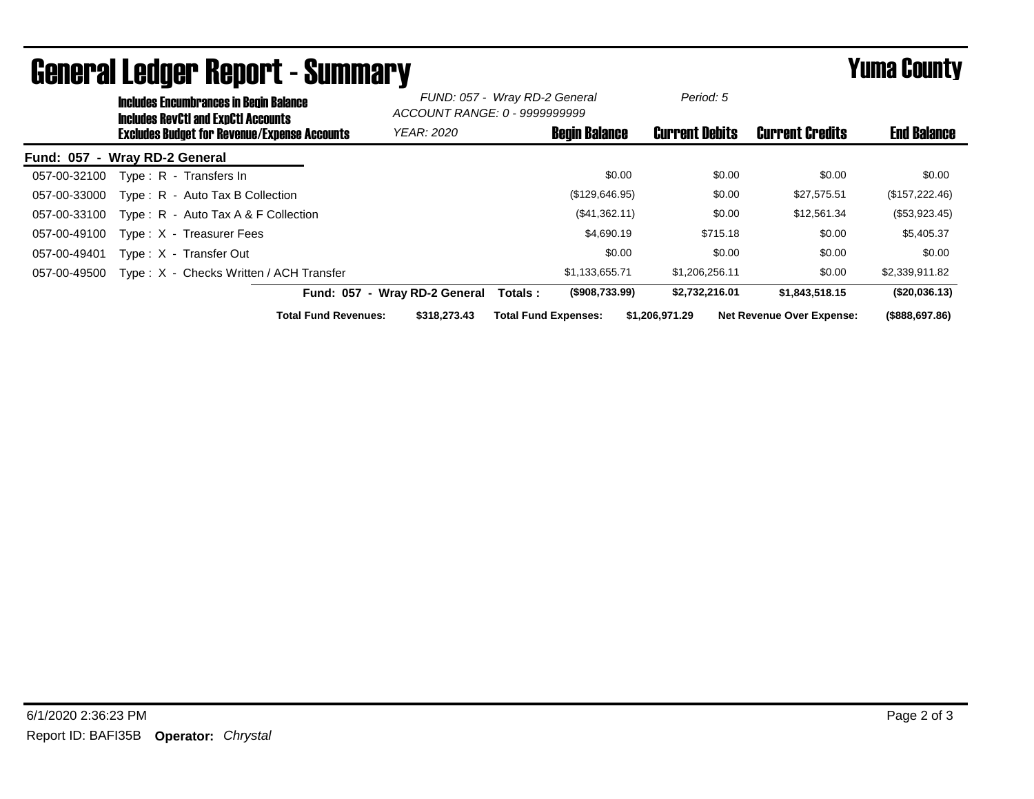|                               | <b>Includes Encumbrances in Begin Balance</b><br><b>Includes RevCtI and ExpCtI Accounts</b><br><b>Excludes Budget for Revenue/Expense Accounts</b> |                                         |                               | FUND: 057 - Wray RD-2 General<br>ACCOUNT RANGE: 0 - 9999999999 |                             |                       | Period: 5      | <b>Current Credits</b> | <b>End Balance</b>               |                 |
|-------------------------------|----------------------------------------------------------------------------------------------------------------------------------------------------|-----------------------------------------|-------------------------------|----------------------------------------------------------------|-----------------------------|-----------------------|----------------|------------------------|----------------------------------|-----------------|
|                               |                                                                                                                                                    |                                         |                               | <b>Begin Balance</b><br><b>YEAR: 2020</b>                      |                             | <b>Current Debits</b> |                |                        |                                  |                 |
| Fund: 057 - Wray RD-2 General |                                                                                                                                                    |                                         |                               |                                                                |                             |                       |                |                        |                                  |                 |
| 057-00-32100                  | Type: R - Transfers In                                                                                                                             |                                         |                               |                                                                |                             | \$0.00                |                | \$0.00                 | \$0.00                           | \$0.00          |
| 057-00-33000                  |                                                                                                                                                    | Type: R - Auto Tax B Collection         |                               |                                                                |                             | (\$129,646.95)        |                | \$0.00                 | \$27,575.51                      | (\$157, 222.46) |
| 057-00-33100                  |                                                                                                                                                    | Type: $R -$ Auto Tax A & F Collection   |                               |                                                                |                             | (\$41,362.11)         |                | \$0.00                 | \$12,561.34                      | (\$53,923.45)   |
| 057-00-49100                  |                                                                                                                                                    | Type: X - Treasurer Fees                |                               |                                                                |                             | \$4,690.19            |                | \$715.18               | \$0.00                           | \$5,405.37      |
| 057-00-49401                  | Type: X - Transfer Out                                                                                                                             |                                         |                               |                                                                |                             | \$0.00                |                | \$0.00                 | \$0.00                           | \$0.00          |
| 057-00-49500                  |                                                                                                                                                    | Type: X - Checks Written / ACH Transfer |                               |                                                                |                             | \$1,133,655.71        |                | \$1,206,256.11         | \$0.00                           | \$2,339,911.82  |
|                               |                                                                                                                                                    |                                         | Fund: 057 - Wray RD-2 General |                                                                | Totals:                     | (\$908,733.99)        |                | \$2,732,216.01         | \$1.843.518.15                   | (\$20,036.13)   |
|                               |                                                                                                                                                    |                                         | <b>Total Fund Revenues:</b>   | \$318,273.43                                                   | <b>Total Fund Expenses:</b> |                       | \$1,206,971.29 |                        | <b>Net Revenue Over Expense:</b> | (\$888,697.86)  |

## General Ledger Report - Summary **Example 2018** Yuma County